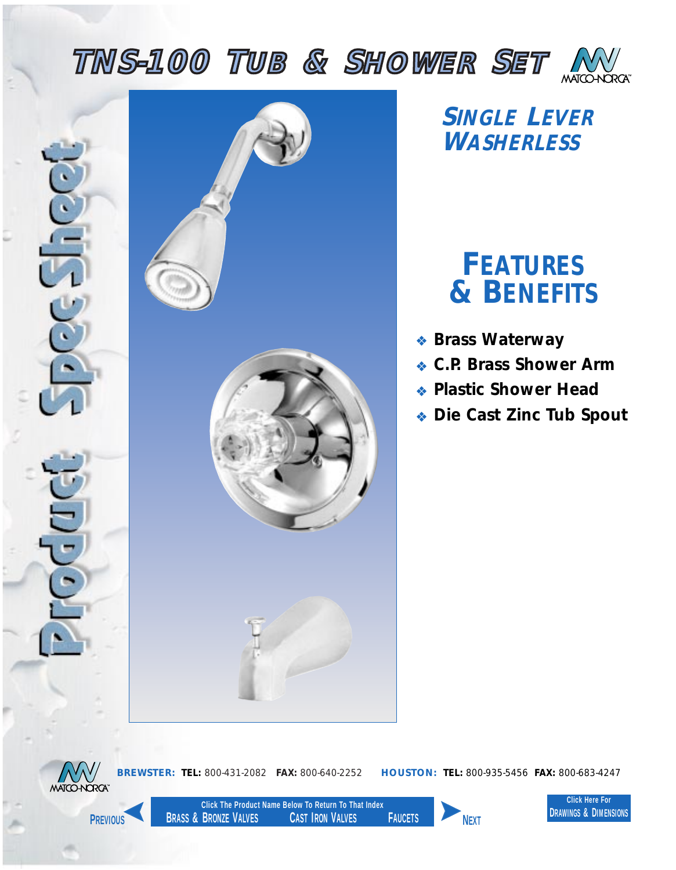<span id="page-0-0"></span>





*SINGLE LEVER WASHERLESS*

## *FEATURES & BENEFITS*

- ❖ *Brass Waterway*
- ❖ *C.P. Brass Shower Arm*
- ❖ *Plastic Shower Head*
- ❖ *Die Cast Zinc Tub Spout*



**Click The Product Name Below To Return To That Index BRASS & BRONZE VALVES CAST IRON VALVES FAUCETS PREVIOUS NEXT**